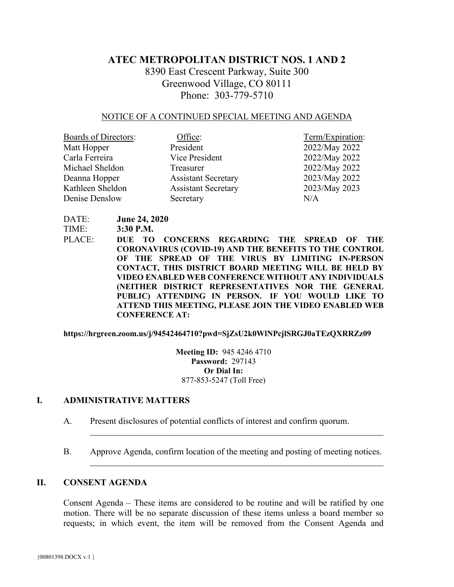# **ATEC METROPOLITAN DISTRICT NOS. 1 AND 2**

8390 East Crescent Parkway, Suite 300 Greenwood Village, CO 80111 Phone: 303-779-5710

#### NOTICE OF A CONTINUED SPECIAL MEETING AND AGENDA

| Boards of Directors: | Office:                    | Term/Expiration: |
|----------------------|----------------------------|------------------|
| Matt Hopper          | President                  | 2022/May 2022    |
| Carla Ferreira       | Vice President             | 2022/May 2022    |
| Michael Sheldon      | Treasurer                  | 2022/May 2022    |
| Deanna Hopper        | <b>Assistant Secretary</b> | 2023/May 2022    |
| Kathleen Sheldon     | <b>Assistant Secretary</b> | 2023/May 2023    |
| Denise Denslow       | Secretary                  | N/A              |

DATE: **June 24, 2020**

TIME: **3:30 P.M.**

PLACE: **DUE TO CONCERNS REGARDING THE SPREAD OF THE CORONAVIRUS (COVID-19) AND THE BENEFITS TO THE CONTROL OF THE SPREAD OF THE VIRUS BY LIMITING IN-PERSON CONTACT, THIS DISTRICT BOARD MEETING WILL BE HELD BY VIDEO ENABLED WEB CONFERENCE WITHOUT ANY INDIVIDUALS (NEITHER DISTRICT REPRESENTATIVES NOR THE GENERAL PUBLIC) ATTENDING IN PERSON. IF YOU WOULD LIKE TO ATTEND THIS MEETING, PLEASE JOIN THE VIDEO ENABLED WEB CONFERENCE AT:** 

**https://hrgreen.zoom.us/j/94542464710?pwd=SjZsU2k0WlNPcjlSRGJ0aTEzQXRRZz09** 

**Meeting ID:** 945 4246 4710 **Password:** 297143 **Or Dial In:**  877-853-5247 (Toll Free)

### **I. ADMINISTRATIVE MATTERS**

- A. Present disclosures of potential conflicts of interest and confirm quorum.
- B. Approve Agenda, confirm location of the meeting and posting of meeting notices.

## **II. CONSENT AGENDA**

Consent Agenda – These items are considered to be routine and will be ratified by one motion. There will be no separate discussion of these items unless a board member so requests; in which event, the item will be removed from the Consent Agenda and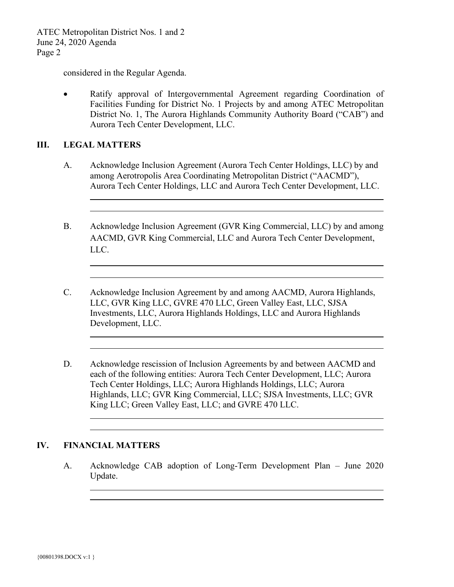ATEC Metropolitan District Nos. 1 and 2 June 24, 2020 Agenda Page 2

considered in the Regular Agenda.

• Ratify approval of Intergovernmental Agreement regarding Coordination of Facilities Funding for District No. 1 Projects by and among ATEC Metropolitan District No. 1, The Aurora Highlands Community Authority Board ("CAB") and Aurora Tech Center Development, LLC.

### **III. LEGAL MATTERS**

 $\overline{\phantom{a}}$ 

 $\overline{a}$ 

 $\overline{\phantom{0}}$ 

- A. Acknowledge Inclusion Agreement (Aurora Tech Center Holdings, LLC) by and among Aerotropolis Area Coordinating Metropolitan District ("AACMD"), Aurora Tech Center Holdings, LLC and Aurora Tech Center Development, LLC.
- B. Acknowledge Inclusion Agreement (GVR King Commercial, LLC) by and among AACMD, GVR King Commercial, LLC and Aurora Tech Center Development, LLC.
- C. Acknowledge Inclusion Agreement by and among AACMD, Aurora Highlands, LLC, GVR King LLC, GVRE 470 LLC, Green Valley East, LLC, SJSA Investments, LLC, Aurora Highlands Holdings, LLC and Aurora Highlands Development, LLC.
- D. Acknowledge rescission of Inclusion Agreements by and between AACMD and each of the following entities: Aurora Tech Center Development, LLC; Aurora Tech Center Holdings, LLC; Aurora Highlands Holdings, LLC; Aurora Highlands, LLC; GVR King Commercial, LLC; SJSA Investments, LLC; GVR King LLC; Green Valley East, LLC; and GVRE 470 LLC.

#### **IV. FINANCIAL MATTERS**

L

A. Acknowledge CAB adoption of Long-Term Development Plan – June 2020 Update.